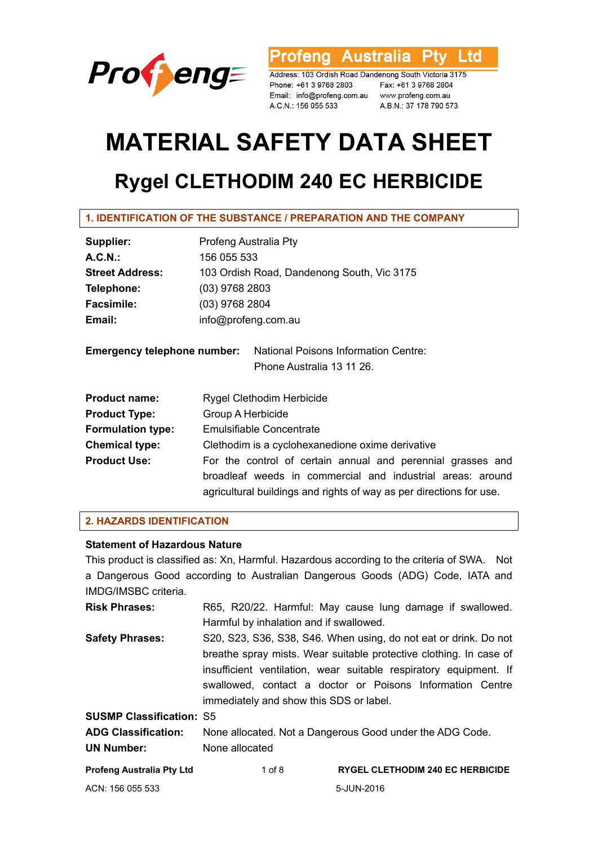

Profeng Australia Ptv Ltd

Address: 103 Ordish Road Dandenong South Victoria 3175 A.C.N.: 156 055 533

A.B.N.: 37 178 790 573

# **MATERIAL SAFETY DATA SHEET**

# **Rygel CLETHODIM 240 EC HERBICIDE**

## **1. IDENTIFICATION OF THE SUBSTANCE / PREPARATION AND THE COMPANY**

| Supplier:                          | Profeng Australia Pty                                                                                                                                                                            |
|------------------------------------|--------------------------------------------------------------------------------------------------------------------------------------------------------------------------------------------------|
| A.C.N.                             | 156 055 533                                                                                                                                                                                      |
| <b>Street Address:</b>             | 103 Ordish Road, Dandenong South, Vic 3175                                                                                                                                                       |
| Telephone:                         | $(03)$ 9768 2803                                                                                                                                                                                 |
| <b>Facsimile:</b>                  | (03) 9768 2804                                                                                                                                                                                   |
| Email:                             | info@profeng.com.au                                                                                                                                                                              |
| <b>Emergency telephone number:</b> | National Poisons Information Centre:<br>Phone Australia 13 11 26.                                                                                                                                |
| <b>Product name:</b>               | Rygel Clethodim Herbicide                                                                                                                                                                        |
| <b>Product Type:</b>               | Group A Herbicide                                                                                                                                                                                |
| <b>Formulation type:</b>           | Emulsifiable Concentrate                                                                                                                                                                         |
| <b>Chemical type:</b>              | Clethodim is a cyclohexanedione oxime derivative                                                                                                                                                 |
| <b>Product Use:</b>                | For the control of certain annual and perennial grasses and<br>broadleaf weeds in commercial and industrial areas: around<br>agricultural buildings and rights of way as per directions for use. |

### **2. HAZARDS IDENTIFICATION**

#### **Statement of Hazardous Nature**

This product is classified as: Xn, Harmful. Hazardous according to the criteria of SWA. Not a Dangerous Good according to Australian Dangerous Goods (ADG) Code, IATA and IMDG/IMSBC criteria.

| <b>Risk Phrases:</b>            | R65, R20/22. Harmful: May cause lung damage if swallowed.          |
|---------------------------------|--------------------------------------------------------------------|
|                                 | Harmful by inhalation and if swallowed.                            |
| <b>Safety Phrases:</b>          | S20, S23, S36, S38, S46. When using, do not eat or drink. Do not   |
|                                 | breathe spray mists. Wear suitable protective clothing. In case of |
|                                 | insufficient ventilation, wear suitable respiratory equipment. If  |
|                                 | swallowed, contact a doctor or Poisons Information Centre          |
|                                 | immediately and show this SDS or label.                            |
| <b>SUSMP Classification: S5</b> |                                                                    |
| <b>ADG Classification:</b>      | None allocated. Not a Dangerous Good under the ADG Code.           |
| <b>UN Number:</b>               | None allocated                                                     |
|                                 |                                                                    |

| <b>Profeng Australia Pty Ltd</b> | 1 of $8$ | <b>RYGEL CLETHODIM 240 EC HERBICIDE</b> |
|----------------------------------|----------|-----------------------------------------|
| ACN: 156 055 533                 |          | 5-JUN-2016                              |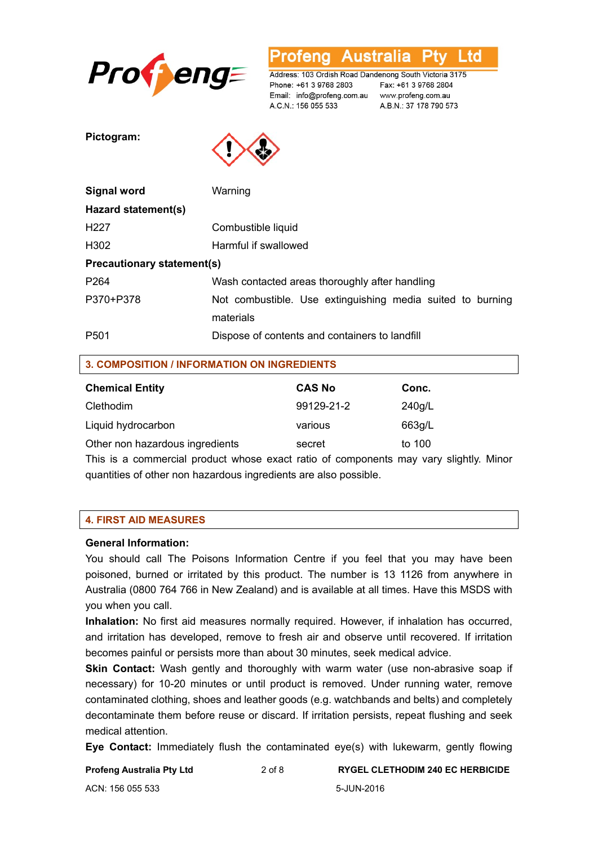

**Australia** L TG rena

Address: 103 Ordish Road Dandenong South Victoria 3175 Phone: +61 3 9768 2803 Email: info@profeng.com.au A.C.N.: 156 055 533

Fax: +61 3 9768 2804 www.profeng.com.au A.B.N.: 37 178 790 573

**Pictogram:** 



| Signal word                       | Warning                                                                 |  |
|-----------------------------------|-------------------------------------------------------------------------|--|
| Hazard statement(s)               |                                                                         |  |
| H <sub>22</sub> 7                 | Combustible liquid                                                      |  |
| H <sub>302</sub>                  | Harmful if swallowed                                                    |  |
| <b>Precautionary statement(s)</b> |                                                                         |  |
| P <sub>264</sub>                  | Wash contacted areas thoroughly after handling                          |  |
| P370+P378                         | Not combustible. Use extinguishing media suited to burning<br>materials |  |
| P <sub>501</sub>                  | Dispose of contents and containers to landfill                          |  |

#### **3. COMPOSITION / INFORMATION ON INGREDIENTS**

| <b>Chemical Entity</b>          | <b>CAS No</b> | Conc.  |
|---------------------------------|---------------|--------|
| Clethodim                       | 99129-21-2    | 240g/L |
| Liquid hydrocarbon              | various       | 663g/L |
| Other non hazardous ingredients | secret        | to 100 |

This is a commercial product whose exact ratio of components may vary slightly. Minor quantities of other non hazardous ingredients are also possible.

#### **4. FIRST AID MEASURES**

#### **General Information:**

You should call The Poisons Information Centre if you feel that you may have been poisoned, burned or irritated by this product. The number is 13 1126 from anywhere in Australia (0800 764 766 in New Zealand) and is available at all times. Have this MSDS with you when you call.

**Inhalation:** No first aid measures normally required. However, if inhalation has occurred, and irritation has developed, remove to fresh air and observe until recovered. If irritation becomes painful or persists more than about 30 minutes, seek medical advice.

**Skin Contact:** Wash gently and thoroughly with warm water (use non-abrasive soap if necessary) for 10-20 minutes or until product is removed. Under running water, remove contaminated clothing, shoes and leather goods (e.g. watchbands and belts) and completely decontaminate them before reuse or discard. If irritation persists, repeat flushing and seek medical attention.

**Eye Contact:** Immediately flush the contaminated eye(s) with lukewarm, gently flowing

| Profeng Australia Pty Ltd | $2$ of $8$ | <b>RYGEL CLETHODIM 240 EC HERBICIDE</b> |
|---------------------------|------------|-----------------------------------------|
| ACN: 156 055 533          |            | 5-JUN-2016                              |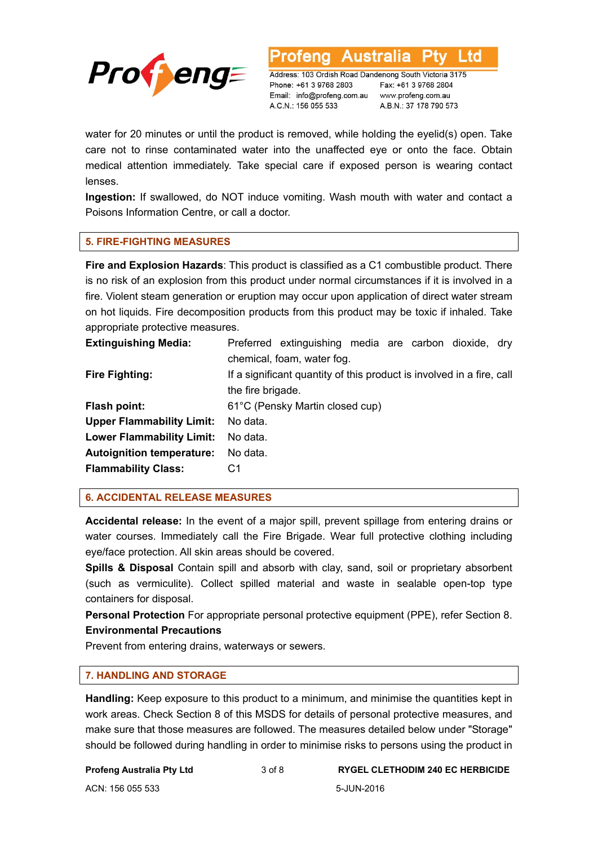

Address: 103 Ordish Road Dandenong South Victoria 3175 Phone: +61 3 9768 2803 Email: info@profeng.com.au A.C.N.: 156 055 533

Australia

Fax: +61 3 9768 2804 www.profeng.com.au A.B.N.: 37 178 790 573

L td

water for 20 minutes or until the product is removed, while holding the eyelid(s) open. Take care not to rinse contaminated water into the unaffected eye or onto the face. Obtain medical attention immediately. Take special care if exposed person is wearing contact lenses.

otena

**Ingestion:** If swallowed, do NOT induce vomiting. Wash mouth with water and contact a Poisons Information Centre, or call a doctor.

#### **5. FIRE-FIGHTING MEASURES**

**Fire and Explosion Hazards**: This product is classified as a C1 combustible product. There is no risk of an explosion from this product under normal circumstances if it is involved in a fire. Violent steam generation or eruption may occur upon application of direct water stream on hot liquids. Fire decomposition products from this product may be toxic if inhaled. Take appropriate protective measures.

| Preferred extinguishing media are carbon dioxide, dry                 |  |
|-----------------------------------------------------------------------|--|
| chemical, foam, water fog.                                            |  |
| If a significant quantity of this product is involved in a fire, call |  |
| the fire brigade.                                                     |  |
| 61°C (Pensky Martin closed cup)                                       |  |
| No data.                                                              |  |
| No data.                                                              |  |
| No data.                                                              |  |
| C1                                                                    |  |
|                                                                       |  |

#### **6. ACCIDENTAL RELEASE MEASURES**

**Accidental release:** In the event of a major spill, prevent spillage from entering drains or water courses. Immediately call the Fire Brigade. Wear full protective clothing including eye/face protection. All skin areas should be covered.

**Spills & Disposal** Contain spill and absorb with clay, sand, soil or proprietary absorbent (such as vermiculite). Collect spilled material and waste in sealable open-top type containers for disposal.

**Personal Protection** For appropriate personal protective equipment (PPE), refer Section 8. **Environmental Precautions** 

Prevent from entering drains, waterways or sewers.

#### **7. HANDLING AND STORAGE**

**Handling:** Keep exposure to this product to a minimum, and minimise the quantities kept in work areas. Check Section 8 of this MSDS for details of personal protective measures, and make sure that those measures are followed. The measures detailed below under "Storage" should be followed during handling in order to minimise risks to persons using the product in

#### **Profeng Australia Pty Ltd** 3 of 8 **RYGEL CLETHODIM 240 EC HERBICIDE**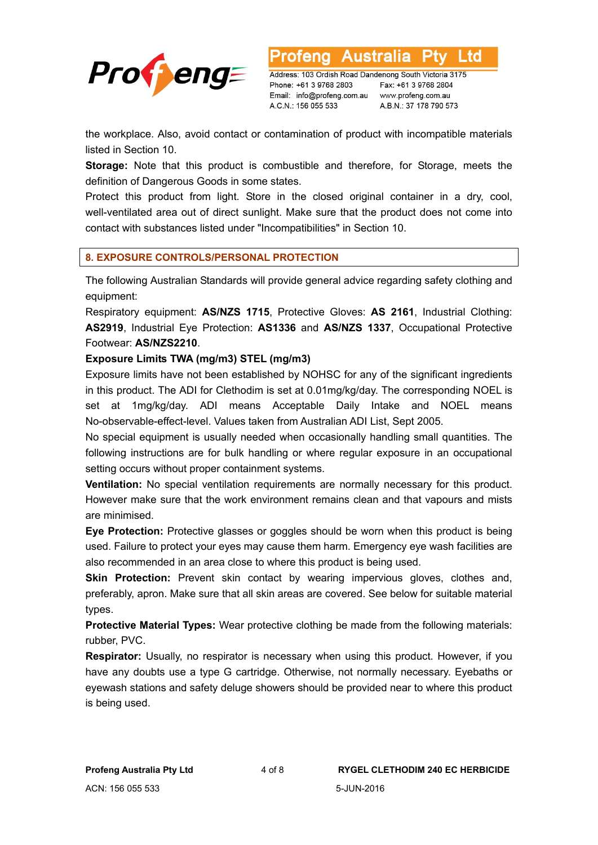

Address: 103 Ordish Road Dandenong South Victoria 3175 Phone: +61 3 9768 2803 Email: info@profeng.com.au A.C.N.: 156 055 533

Australia

Fax: +61 3 9768 2804 www.profeng.com.au A.B.N.: 37 178 790 573

L td

the workplace. Also, avoid contact or contamination of product with incompatible materials listed in Section 10.

**Storage:** Note that this product is combustible and therefore, for Storage, meets the definition of Dangerous Goods in some states.

Protect this product from light. Store in the closed original container in a dry, cool, well-ventilated area out of direct sunlight. Make sure that the product does not come into contact with substances listed under "Incompatibilities" in Section 10.

#### **8. EXPOSURE CONTROLS/PERSONAL PROTECTION**

The following Australian Standards will provide general advice regarding safety clothing and equipment:

Respiratory equipment: **AS/NZS 1715**, Protective Gloves: **AS 2161**, Industrial Clothing: **AS2919**, Industrial Eye Protection: **AS1336** and **AS/NZS 1337**, Occupational Protective Footwear: **AS/NZS2210**.

#### **Exposure Limits TWA (mg/m3) STEL (mg/m3)**

Exposure limits have not been established by NOHSC for any of the significant ingredients in this product. The ADI for Clethodim is set at 0.01mg/kg/day. The corresponding NOEL is set at 1mg/kg/day. ADI means Acceptable Daily Intake and NOEL means No-observable-effect-level. Values taken from Australian ADI List, Sept 2005.

No special equipment is usually needed when occasionally handling small quantities. The following instructions are for bulk handling or where regular exposure in an occupational setting occurs without proper containment systems.

**Ventilation:** No special ventilation requirements are normally necessary for this product. However make sure that the work environment remains clean and that vapours and mists are minimised.

**Eye Protection:** Protective glasses or goggles should be worn when this product is being used. Failure to protect your eyes may cause them harm. Emergency eye wash facilities are also recommended in an area close to where this product is being used.

**Skin Protection:** Prevent skin contact by wearing impervious gloves, clothes and, preferably, apron. Make sure that all skin areas are covered. See below for suitable material types.

**Protective Material Types:** Wear protective clothing be made from the following materials: rubber, PVC.

**Respirator:** Usually, no respirator is necessary when using this product. However, if you have any doubts use a type G cartridge. Otherwise, not normally necessary. Eyebaths or eyewash stations and safety deluge showers should be provided near to where this product is being used.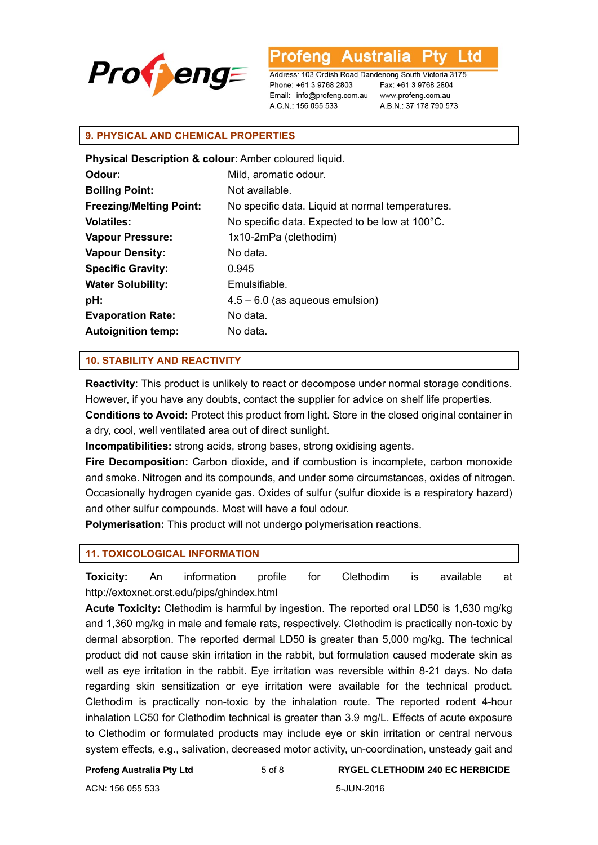

L to

Address: 103 Ordish Road Dandenong South Victoria 3175 Phone: +61 3 9768 2803 Email: info@profeng.com.au A.C.N.: 156 055 533

Fax: +61 3 9768 2804 www.profeng.com.au A.B.N.: 37 178 790 573

#### **9. PHYSICAL AND CHEMICAL PROPERTIES**

| Physical Description & colour: Amber coloured liquid. |                                                  |  |
|-------------------------------------------------------|--------------------------------------------------|--|
| Odour:                                                | Mild, aromatic odour.                            |  |
| <b>Boiling Point:</b>                                 | Not available.                                   |  |
| <b>Freezing/Melting Point:</b>                        | No specific data. Liquid at normal temperatures. |  |
| <b>Volatiles:</b>                                     | No specific data. Expected to be low at 100°C.   |  |
| <b>Vapour Pressure:</b>                               | 1x10-2mPa (clethodim)                            |  |
| <b>Vapour Density:</b>                                | No data.                                         |  |
| <b>Specific Gravity:</b>                              | 0.945                                            |  |
| <b>Water Solubility:</b>                              | Emulsifiable.                                    |  |
| pH:                                                   | $4.5 - 6.0$ (as aqueous emulsion)                |  |
| <b>Evaporation Rate:</b>                              | No data.                                         |  |
| <b>Autoignition temp:</b>                             | No data.                                         |  |

#### **10. STABILITY AND REACTIVITY**

**Reactivity**: This product is unlikely to react or decompose under normal storage conditions. However, if you have any doubts, contact the supplier for advice on shelf life properties.

**Conditions to Avoid:** Protect this product from light. Store in the closed original container in a dry, cool, well ventilated area out of direct sunlight.

**Incompatibilities:** strong acids, strong bases, strong oxidising agents.

**Fire Decomposition:** Carbon dioxide, and if combustion is incomplete, carbon monoxide and smoke. Nitrogen and its compounds, and under some circumstances, oxides of nitrogen. Occasionally hydrogen cyanide gas. Oxides of sulfur (sulfur dioxide is a respiratory hazard) and other sulfur compounds. Most will have a foul odour.

**Polymerisation:** This product will not undergo polymerisation reactions.

#### **11. TOXICOLOGICAL INFORMATION**

**Toxicity:** An information profile for Clethodim is available at http://extoxnet.orst.edu/pips/ghindex.html

**Acute Toxicity:** Clethodim is harmful by ingestion. The reported oral LD50 is 1,630 mg/kg and 1,360 mg/kg in male and female rats, respectively. Clethodim is practically non-toxic by dermal absorption. The reported dermal LD50 is greater than 5,000 mg/kg. The technical product did not cause skin irritation in the rabbit, but formulation caused moderate skin as well as eye irritation in the rabbit. Eye irritation was reversible within 8-21 days. No data regarding skin sensitization or eye irritation were available for the technical product. Clethodim is practically non-toxic by the inhalation route. The reported rodent 4-hour inhalation LC50 for Clethodim technical is greater than 3.9 mg/L. Effects of acute exposure to Clethodim or formulated products may include eye or skin irritation or central nervous system effects, e.g., salivation, decreased motor activity, un-coordination, unsteady gait and

#### **Profeng Australia Pty Ltd** 5 of 8 **RYGEL CLETHODIM 240 EC HERBICIDE**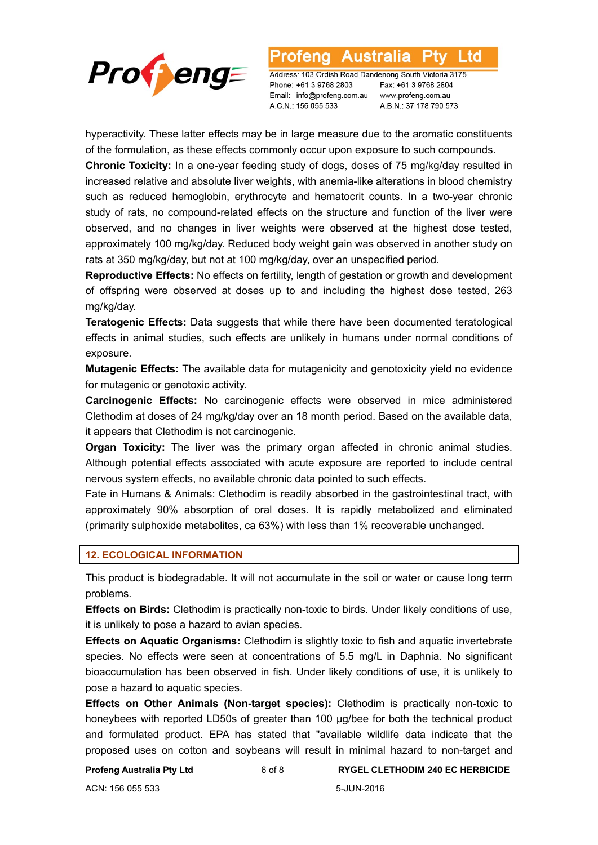

**Australia** l td ofena

Address: 103 Ordish Road Dandenong South Victoria 3175 Phone: +61 3 9768 2803 Email: info@profeng.com.au A.C.N.: 156 055 533

Fax: +61 3 9768 2804 www.profeng.com.au A.B.N.: 37 178 790 573

hyperactivity. These latter effects may be in large measure due to the aromatic constituents of the formulation, as these effects commonly occur upon exposure to such compounds.

**Chronic Toxicity:** In a one-year feeding study of dogs, doses of 75 mg/kg/day resulted in increased relative and absolute liver weights, with anemia-like alterations in blood chemistry such as reduced hemoglobin, erythrocyte and hematocrit counts. In a two-year chronic study of rats, no compound-related effects on the structure and function of the liver were observed, and no changes in liver weights were observed at the highest dose tested, approximately 100 mg/kg/day. Reduced body weight gain was observed in another study on rats at 350 mg/kg/day, but not at 100 mg/kg/day, over an unspecified period.

**Reproductive Effects:** No effects on fertility, length of gestation or growth and development of offspring were observed at doses up to and including the highest dose tested, 263 mg/kg/day.

**Teratogenic Effects:** Data suggests that while there have been documented teratological effects in animal studies, such effects are unlikely in humans under normal conditions of exposure.

**Mutagenic Effects:** The available data for mutagenicity and genotoxicity yield no evidence for mutagenic or genotoxic activity.

**Carcinogenic Effects:** No carcinogenic effects were observed in mice administered Clethodim at doses of 24 mg/kg/day over an 18 month period. Based on the available data, it appears that Clethodim is not carcinogenic.

**Organ Toxicity:** The liver was the primary organ affected in chronic animal studies. Although potential effects associated with acute exposure are reported to include central nervous system effects, no available chronic data pointed to such effects.

Fate in Humans & Animals: Clethodim is readily absorbed in the gastrointestinal tract, with approximately 90% absorption of oral doses. It is rapidly metabolized and eliminated (primarily sulphoxide metabolites, ca 63%) with less than 1% recoverable unchanged.

#### **12. ECOLOGICAL INFORMATION**

This product is biodegradable. It will not accumulate in the soil or water or cause long term problems.

**Effects on Birds:** Clethodim is practically non-toxic to birds. Under likely conditions of use, it is unlikely to pose a hazard to avian species.

**Effects on Aquatic Organisms:** Clethodim is slightly toxic to fish and aquatic invertebrate species. No effects were seen at concentrations of 5.5 mg/L in Daphnia. No significant bioaccumulation has been observed in fish. Under likely conditions of use, it is unlikely to pose a hazard to aquatic species.

**Effects on Other Animals (Non-target species):** Clethodim is practically non-toxic to honeybees with reported LD50s of greater than 100 μg/bee for both the technical product and formulated product. EPA has stated that "available wildlife data indicate that the proposed uses on cotton and soybeans will result in minimal hazard to non-target and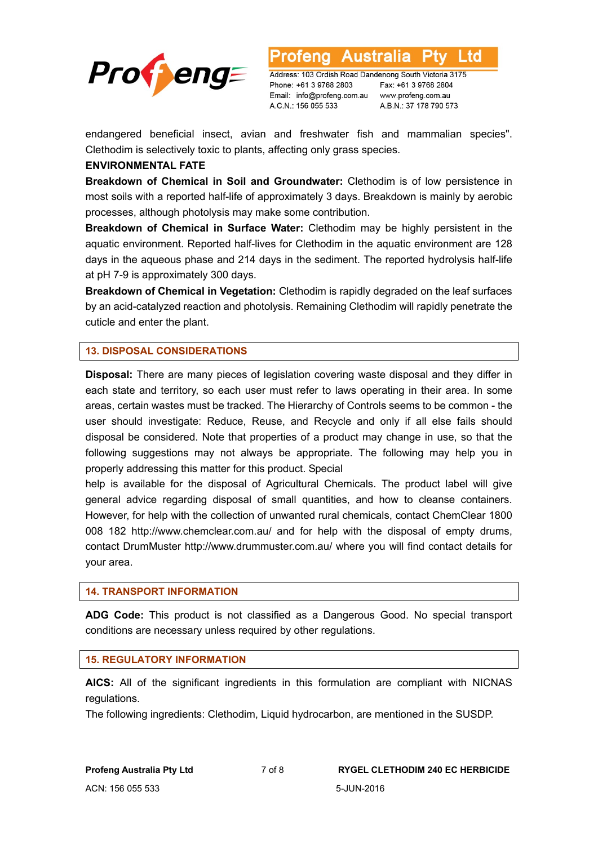

Australia L td

Address: 103 Ordish Road Dandenong South Victoria 3175 Phone: +61 3 9768 2803 Email: info@profeng.com.au www.profeng.com.au A.C.N.: 156 055 533

Fax: +61 3 9768 2804 A.B.N.: 37 178 790 573

endangered beneficial insect, avian and freshwater fish and mammalian species". Clethodim is selectively toxic to plants, affecting only grass species.

#### **ENVIRONMENTAL FATE**

**Breakdown of Chemical in Soil and Groundwater:** Clethodim is of low persistence in most soils with a reported half-life of approximately 3 days. Breakdown is mainly by aerobic processes, although photolysis may make some contribution.

**Breakdown of Chemical in Surface Water:** Clethodim may be highly persistent in the aquatic environment. Reported half-lives for Clethodim in the aquatic environment are 128 days in the aqueous phase and 214 days in the sediment. The reported hydrolysis half-life at pH 7-9 is approximately 300 days.

**Breakdown of Chemical in Vegetation:** Clethodim is rapidly degraded on the leaf surfaces by an acid-catalyzed reaction and photolysis. Remaining Clethodim will rapidly penetrate the cuticle and enter the plant.

#### **13. DISPOSAL CONSIDERATIONS**

**Disposal:** There are many pieces of legislation covering waste disposal and they differ in each state and territory, so each user must refer to laws operating in their area. In some areas, certain wastes must be tracked. The Hierarchy of Controls seems to be common - the user should investigate: Reduce, Reuse, and Recycle and only if all else fails should disposal be considered. Note that properties of a product may change in use, so that the following suggestions may not always be appropriate. The following may help you in properly addressing this matter for this product. Special

help is available for the disposal of Agricultural Chemicals. The product label will give general advice regarding disposal of small quantities, and how to cleanse containers. However, for help with the collection of unwanted rural chemicals, contact ChemClear 1800 008 182 http://www.chemclear.com.au/ and for help with the disposal of empty drums, contact DrumMuster http://www.drummuster.com.au/ where you will find contact details for your area.

#### **14. TRANSPORT INFORMATION**

**ADG Code:** This product is not classified as a Dangerous Good. No special transport conditions are necessary unless required by other regulations.

#### **15. REGULATORY INFORMATION**

**AICS:** All of the significant ingredients in this formulation are compliant with NICNAS regulations.

The following ingredients: Clethodim, Liquid hydrocarbon, are mentioned in the SUSDP.